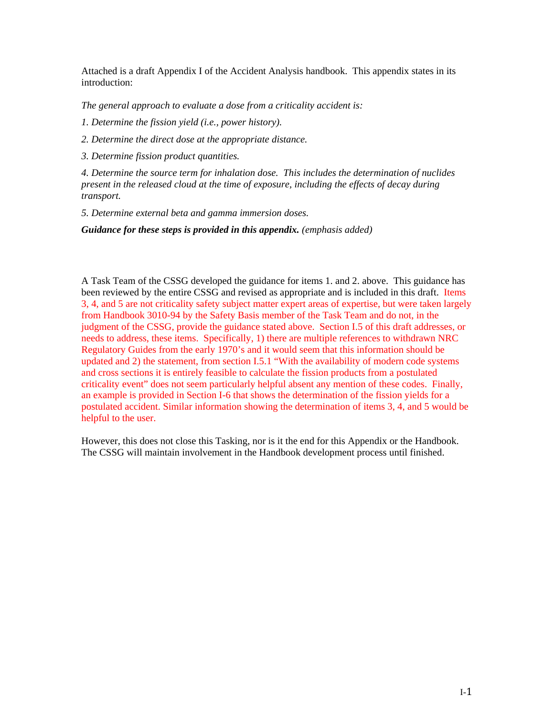Attached is a draft Appendix I of the Accident Analysis handbook. This appendix states in its introduction:

*The general approach to evaluate a dose from a criticality accident is:*

*1. Determine the fission yield (i.e., power history).*

*2. Determine the direct dose at the appropriate distance.*

*3. Determine fission product quantities.*

*4. Determine the source term for inhalation dose. This includes the determination of nuclides present in the released cloud at the time of exposure, including the effects of decay during transport.*

*5. Determine external beta and gamma immersion doses.*

*Guidance for these steps is provided in this appendix. (emphasis added)*

A Task Team of the CSSG developed the guidance for items 1. and 2. above. This guidance has been reviewed by the entire CSSG and revised as appropriate and is included in this draft. Items 3, 4, and 5 are not criticality safety subject matter expert areas of expertise, but were taken largely from Handbook 3010-94 by the Safety Basis member of the Task Team and do not, in the judgment of the CSSG, provide the guidance stated above. Section I.5 of this draft addresses, or needs to address, these items. Specifically, 1) there are multiple references to withdrawn NRC Regulatory Guides from the early 1970's and it would seem that this information should be updated and 2) the statement, from section I.5.1 "With the availability of modern code systems and cross sections it is entirely feasible to calculate the fission products from a postulated criticality event" does not seem particularly helpful absent any mention of these codes. Finally, an example is provided in Section I-6 that shows the determination of the fission yields for a postulated accident. Similar information showing the determination of items 3, 4, and 5 would be helpful to the user.

However, this does not close this Tasking, nor is it the end for this Appendix or the Handbook. The CSSG will maintain involvement in the Handbook development process until finished.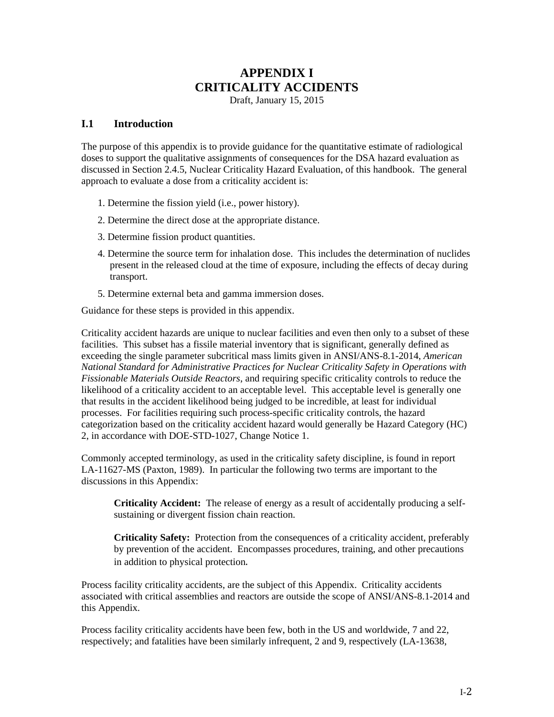# **APPENDIX I CRITICALITY ACCIDENTS**

Draft, January 15, 2015

#### **I.1 Introduction**

The purpose of this appendix is to provide guidance for the quantitative estimate of radiological doses to support the qualitative assignments of consequences for the DSA hazard evaluation as discussed in Section 2.4.5, Nuclear Criticality Hazard Evaluation, of this handbook. The general approach to evaluate a dose from a criticality accident is:

- 1. Determine the fission yield (i.e., power history).
- 2. Determine the direct dose at the appropriate distance.
- 3. Determine fission product quantities.
- 4. Determine the source term for inhalation dose. This includes the determination of nuclides present in the released cloud at the time of exposure, including the effects of decay during transport.
- 5. Determine external beta and gamma immersion doses.

Guidance for these steps is provided in this appendix.

Criticality accident hazards are unique to nuclear facilities and even then only to a subset of these facilities. This subset has a fissile material inventory that is significant, generally defined as exceeding the single parameter subcritical mass limits given in ANSI/ANS-8.1-2014, *American National Standard for Administrative Practices for Nuclear Criticality Safety in Operations with Fissionable Materials Outside Reactors*, and requiring specific criticality controls to reduce the likelihood of a criticality accident to an acceptable level. This acceptable level is generally one that results in the accident likelihood being judged to be incredible, at least for individual processes. For facilities requiring such process-specific criticality controls, the hazard categorization based on the criticality accident hazard would generally be Hazard Category (HC) 2, in accordance with DOE-STD-1027, Change Notice 1.

Commonly accepted terminology, as used in the criticality safety discipline, is found in report LA-11627-MS (Paxton, 1989). In particular the following two terms are important to the discussions in this Appendix:

**Criticality Accident:** The release of energy as a result of accidentally producing a selfsustaining or divergent fission chain reaction.

**Criticality Safety:** Protection from the consequences of a criticality accident, preferably by prevention of the accident. Encompasses procedures, training, and other precautions in addition to physical protection.

Process facility criticality accidents, are the subject of this Appendix. Criticality accidents associated with critical assemblies and reactors are outside the scope of ANSI/ANS-8.1-2014 and this Appendix.

Process facility criticality accidents have been few, both in the US and worldwide, 7 and 22, respectively; and fatalities have been similarly infrequent, 2 and 9, respectively (LA-13638,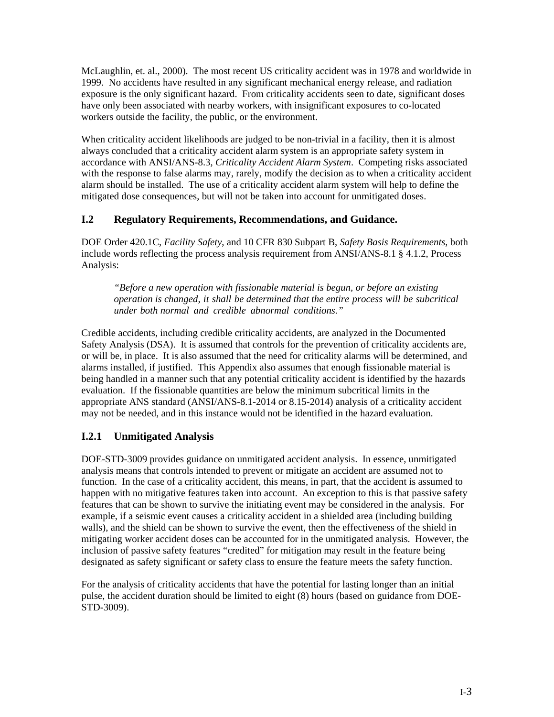McLaughlin, et. al., 2000). The most recent US criticality accident was in 1978 and worldwide in 1999. No accidents have resulted in any significant mechanical energy release, and radiation exposure is the only significant hazard. From criticality accidents seen to date, significant doses have only been associated with nearby workers, with insignificant exposures to co-located workers outside the facility, the public, or the environment.

When criticality accident likelihoods are judged to be non-trivial in a facility, then it is almost always concluded that a criticality accident alarm system is an appropriate safety system in accordance with ANSI/ANS-8.3, *Criticality Accident Alarm System*. Competing risks associated with the response to false alarms may, rarely, modify the decision as to when a criticality accident alarm should be installed. The use of a criticality accident alarm system will help to define the mitigated dose consequences, but will not be taken into account for unmitigated doses.

## **I.2 Regulatory Requirements, Recommendations, and Guidance.**

DOE Order 420.1C, *Facility Safety*, and 10 CFR 830 Subpart B, *Safety Basis Requirements*, both include words reflecting the process analysis requirement from ANSI/ANS-8.1 § 4.1.2, Process Analysis:

*"Before a new operation with fissionable material is begun, or before an existing operation is changed, it shall be determined that the entire process will be subcritical under both normal and credible abnormal conditions."* 

Credible accidents, including credible criticality accidents, are analyzed in the Documented Safety Analysis (DSA). It is assumed that controls for the prevention of criticality accidents are, or will be, in place. It is also assumed that the need for criticality alarms will be determined, and alarms installed, if justified. This Appendix also assumes that enough fissionable material is being handled in a manner such that any potential criticality accident is identified by the hazards evaluation. If the fissionable quantities are below the minimum subcritical limits in the appropriate ANS standard (ANSI/ANS-8.1-2014 or 8.15-2014) analysis of a criticality accident may not be needed, and in this instance would not be identified in the hazard evaluation.

## **I.2.1 Unmitigated Analysis**

DOE-STD-3009 provides guidance on unmitigated accident analysis. In essence, unmitigated analysis means that controls intended to prevent or mitigate an accident are assumed not to function. In the case of a criticality accident, this means, in part, that the accident is assumed to happen with no mitigative features taken into account. An exception to this is that passive safety features that can be shown to survive the initiating event may be considered in the analysis. For example, if a seismic event causes a criticality accident in a shielded area (including building walls), and the shield can be shown to survive the event, then the effectiveness of the shield in mitigating worker accident doses can be accounted for in the unmitigated analysis. However, the inclusion of passive safety features "credited" for mitigation may result in the feature being designated as safety significant or safety class to ensure the feature meets the safety function.

For the analysis of criticality accidents that have the potential for lasting longer than an initial pulse, the accident duration should be limited to eight (8) hours (based on guidance from DOE-STD-3009).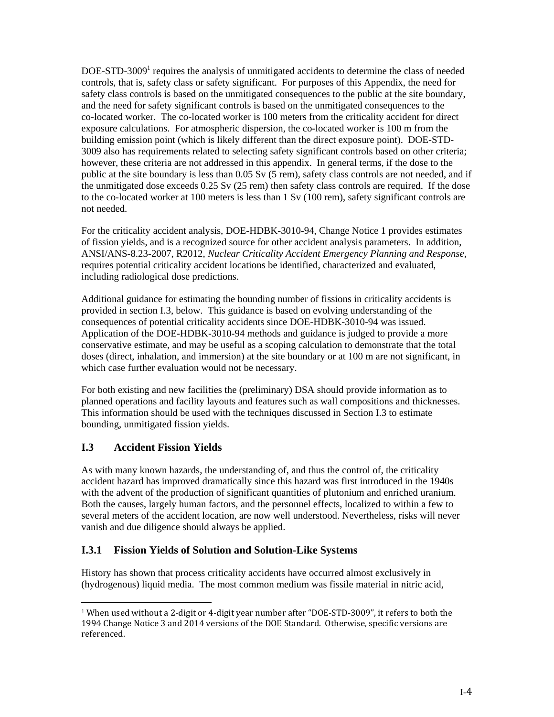DOE-STD-3009<sup>1</sup> requires the analysis of unmitigated accidents to determine the class of needed controls, that is, safety class or safety significant. For purposes of this Appendix, the need for safety class controls is based on the unmitigated consequences to the public at the site boundary, and the need for safety significant controls is based on the unmitigated consequences to the co-located worker. The co-located worker is 100 meters from the criticality accident for direct exposure calculations. For atmospheric dispersion, the co-located worker is 100 m from the building emission point (which is likely different than the direct exposure point). DOE-STD-3009 also has requirements related to selecting safety significant controls based on other criteria; however, these criteria are not addressed in this appendix. In general terms, if the dose to the public at the site boundary is less than 0.05 Sv (5 rem), safety class controls are not needed, and if the unmitigated dose exceeds 0.25 Sv (25 rem) then safety class controls are required. If the dose to the co-located worker at 100 meters is less than 1 Sv (100 rem), safety significant controls are not needed.

For the criticality accident analysis, DOE-HDBK-3010-94, Change Notice 1 provides estimates of fission yields, and is a recognized source for other accident analysis parameters. In addition, ANSI/ANS-8.23-2007, R2012, *Nuclear Criticality Accident Emergency Planning and Response,* requires potential criticality accident locations be identified, characterized and evaluated, including radiological dose predictions.

Additional guidance for estimating the bounding number of fissions in criticality accidents is provided in section I.3, below. This guidance is based on evolving understanding of the consequences of potential criticality accidents since DOE-HDBK-3010-94 was issued. Application of the DOE-HDBK-3010-94 methods and guidance is judged to provide a more conservative estimate, and may be useful as a scoping calculation to demonstrate that the total doses (direct, inhalation, and immersion) at the site boundary or at 100 m are not significant, in which case further evaluation would not be necessary.

For both existing and new facilities the (preliminary) DSA should provide information as to planned operations and facility layouts and features such as wall compositions and thicknesses. This information should be used with the techniques discussed in Section I.3 to estimate bounding, unmitigated fission yields.

## **I.3 Accident Fission Yields**

As with many known hazards, the understanding of, and thus the control of, the criticality accident hazard has improved dramatically since this hazard was first introduced in the 1940s with the advent of the production of significant quantities of plutonium and enriched uranium. Both the causes, largely human factors, and the personnel effects, localized to within a few to several meters of the accident location, are now well understood. Nevertheless, risks will never vanish and due diligence should always be applied.

## **I.3.1 Fission Yields of Solution and Solution-Like Systems**

History has shown that process criticality accidents have occurred almost exclusively in (hydrogenous) liquid media. The most common medium was fissile material in nitric acid,

 <sup>1</sup> When used without a 2-digit or 4-digit year number after "DOE-STD-3009", it refers to both the 1994 Change Notice 3 and 2014 versions of the DOE Standard. Otherwise, specific versions are referenced.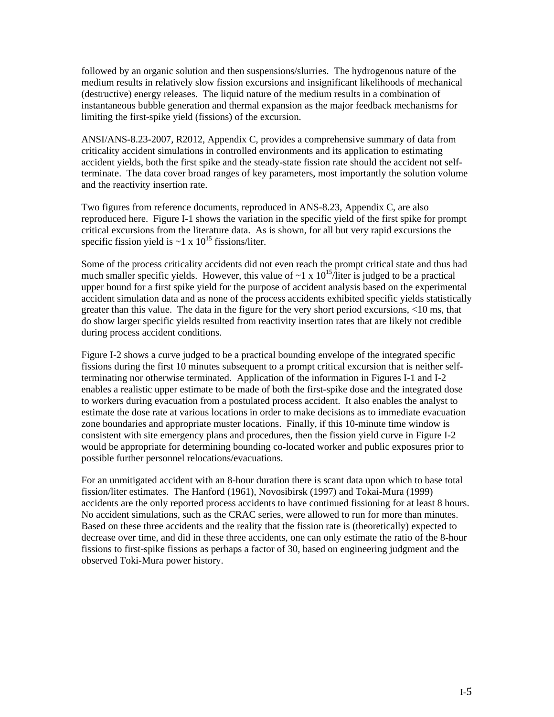followed by an organic solution and then suspensions/slurries. The hydrogenous nature of the medium results in relatively slow fission excursions and insignificant likelihoods of mechanical (destructive) energy releases. The liquid nature of the medium results in a combination of instantaneous bubble generation and thermal expansion as the major feedback mechanisms for limiting the first-spike yield (fissions) of the excursion.

ANSI/ANS-8.23-2007, R2012, Appendix C, provides a comprehensive summary of data from criticality accident simulations in controlled environments and its application to estimating accident yields, both the first spike and the steady-state fission rate should the accident not selfterminate. The data cover broad ranges of key parameters, most importantly the solution volume and the reactivity insertion rate.

Two figures from reference documents, reproduced in ANS-8.23, Appendix C, are also reproduced here. Figure I-1 shows the variation in the specific yield of the first spike for prompt critical excursions from the literature data. As is shown, for all but very rapid excursions the specific fission yield is  $\sim$ 1 x 10<sup>15</sup> fissions/liter.

Some of the process criticality accidents did not even reach the prompt critical state and thus had much smaller specific yields. However, this value of  $\sim 1 \times 10^{15}$  liter is judged to be a practical upper bound for a first spike yield for the purpose of accident analysis based on the experimental accident simulation data and as none of the process accidents exhibited specific yields statistically greater than this value. The data in the figure for the very short period excursions, <10 ms, that do show larger specific yields resulted from reactivity insertion rates that are likely not credible during process accident conditions.

Figure I-2 shows a curve judged to be a practical bounding envelope of the integrated specific fissions during the first 10 minutes subsequent to a prompt critical excursion that is neither selfterminating nor otherwise terminated. Application of the information in Figures I-1 and I-2 enables a realistic upper estimate to be made of both the first-spike dose and the integrated dose to workers during evacuation from a postulated process accident. It also enables the analyst to estimate the dose rate at various locations in order to make decisions as to immediate evacuation zone boundaries and appropriate muster locations. Finally, if this 10-minute time window is consistent with site emergency plans and procedures, then the fission yield curve in Figure I-2 would be appropriate for determining bounding co-located worker and public exposures prior to possible further personnel relocations/evacuations.

For an unmitigated accident with an 8-hour duration there is scant data upon which to base total fission/liter estimates. The Hanford (1961), Novosibirsk (1997) and Tokai-Mura (1999) accidents are the only reported process accidents to have continued fissioning for at least 8 hours. No accident simulations, such as the CRAC series, were allowed to run for more than minutes. Based on these three accidents and the reality that the fission rate is (theoretically) expected to decrease over time, and did in these three accidents, one can only estimate the ratio of the 8-hour fissions to first-spike fissions as perhaps a factor of 30, based on engineering judgment and the observed Toki-Mura power history.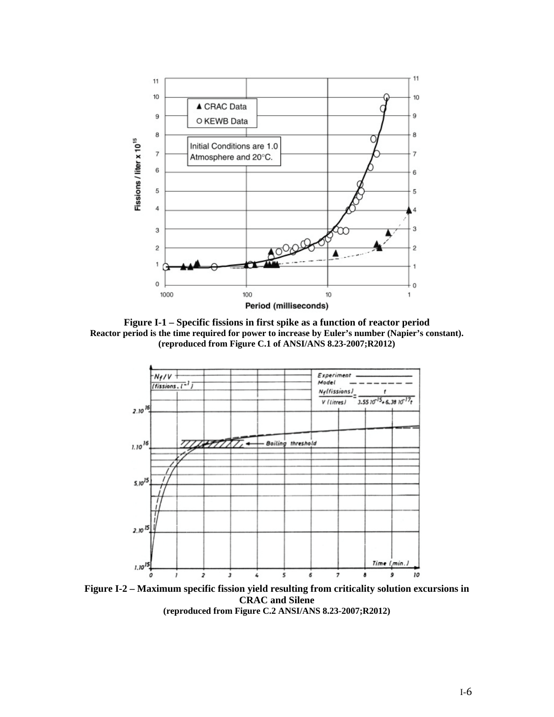

**Figure I-1 – Specific fissions in first spike as a function of reactor period Reactor period is the time required for power to increase by Euler's number (Napier's constant). (reproduced from Figure C.1 of ANSI/ANS 8.23-2007;R2012)**



**Figure I-2 – Maximum specific fission yield resulting from criticality solution excursions in CRAC and Silene**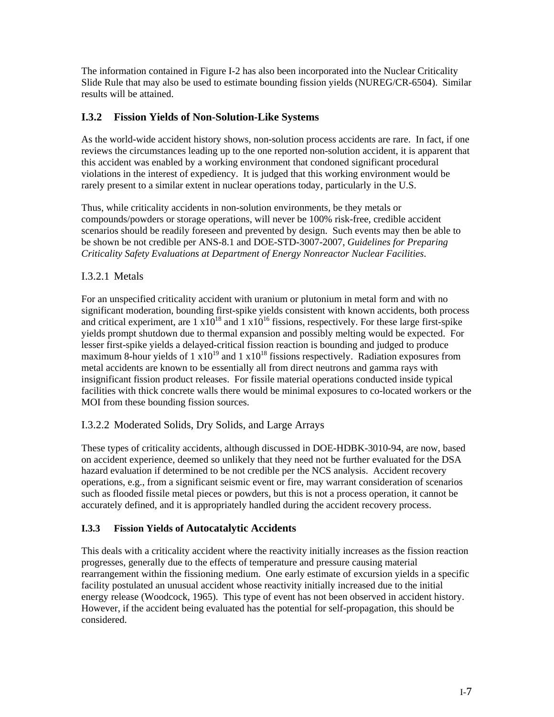The information contained in Figure I-2 has also been incorporated into the Nuclear Criticality Slide Rule that may also be used to estimate bounding fission yields (NUREG/CR-6504). Similar results will be attained.

## **I.3.2 Fission Yields of Non-Solution-Like Systems**

As the world-wide accident history shows, non-solution process accidents are rare. In fact, if one reviews the circumstances leading up to the one reported non-solution accident, it is apparent that this accident was enabled by a working environment that condoned significant procedural violations in the interest of expediency. It is judged that this working environment would be rarely present to a similar extent in nuclear operations today, particularly in the U.S.

Thus, while criticality accidents in non-solution environments, be they metals or compounds/powders or storage operations, will never be 100% risk-free, credible accident scenarios should be readily foreseen and prevented by design. Such events may then be able to be shown be not credible per ANS-8.1 and DOE-STD-3007-2007, *Guidelines for Preparing Criticality Safety Evaluations at Department of Energy Nonreactor Nuclear Facilities*.

## I.3.2.1 Metals

For an unspecified criticality accident with uranium or plutonium in metal form and with no significant moderation, bounding first-spike yields consistent with known accidents, both process and critical experiment, are  $1 \times 10^{18}$  and  $1 \times 10^{16}$  fissions, respectively. For these large first-spike yields prompt shutdown due to thermal expansion and possibly melting would be expected. For lesser first-spike yields a delayed-critical fission reaction is bounding and judged to produce maximum 8-hour yields of 1  $x10^{19}$  and 1  $x10^{18}$  fissions respectively. Radiation exposures from metal accidents are known to be essentially all from direct neutrons and gamma rays with insignificant fission product releases. For fissile material operations conducted inside typical facilities with thick concrete walls there would be minimal exposures to co-located workers or the MOI from these bounding fission sources.

## I.3.2.2 Moderated Solids, Dry Solids, and Large Arrays

These types of criticality accidents, although discussed in DOE-HDBK-3010-94, are now, based on accident experience, deemed so unlikely that they need not be further evaluated for the DSA hazard evaluation if determined to be not credible per the NCS analysis. Accident recovery operations, e.g., from a significant seismic event or fire, may warrant consideration of scenarios such as flooded fissile metal pieces or powders, but this is not a process operation, it cannot be accurately defined, and it is appropriately handled during the accident recovery process.

## **I.3.3 Fission Yields of Autocatalytic Accidents**

This deals with a criticality accident where the reactivity initially increases as the fission reaction progresses, generally due to the effects of temperature and pressure causing material rearrangement within the fissioning medium. One early estimate of excursion yields in a specific facility postulated an unusual accident whose reactivity initially increased due to the initial energy release (Woodcock, 1965). This type of event has not been observed in accident history. However, if the accident being evaluated has the potential for self-propagation, this should be considered.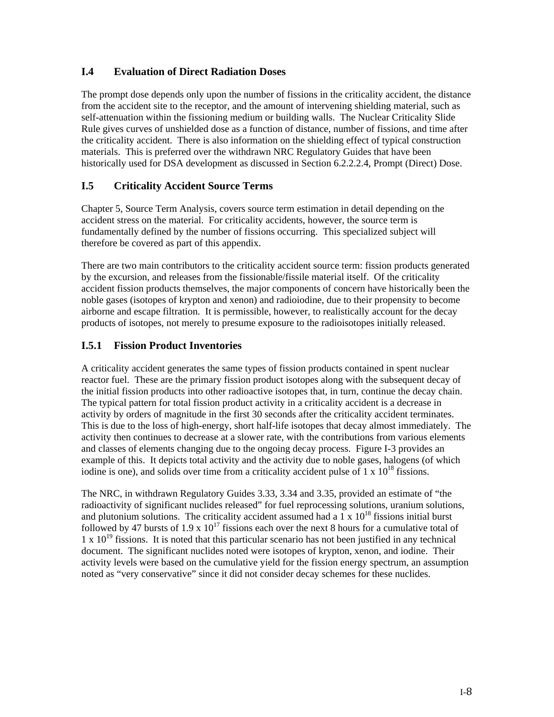## **I.4 Evaluation of Direct Radiation Doses**

The prompt dose depends only upon the number of fissions in the criticality accident, the distance from the accident site to the receptor, and the amount of intervening shielding material, such as self-attenuation within the fissioning medium or building walls. The Nuclear Criticality Slide Rule gives curves of unshielded dose as a function of distance, number of fissions, and time after the criticality accident. There is also information on the shielding effect of typical construction materials. This is preferred over the withdrawn NRC Regulatory Guides that have been historically used for DSA development as discussed in Section 6.2.2.2.4, Prompt (Direct) Dose.

## **I.5 Criticality Accident Source Terms**

Chapter 5, Source Term Analysis, covers source term estimation in detail depending on the accident stress on the material. For criticality accidents, however, the source term is fundamentally defined by the number of fissions occurring. This specialized subject will therefore be covered as part of this appendix.

There are two main contributors to the criticality accident source term: fission products generated by the excursion, and releases from the fissionable/fissile material itself. Of the criticality accident fission products themselves, the major components of concern have historically been the noble gases (isotopes of krypton and xenon) and radioiodine, due to their propensity to become airborne and escape filtration. It is permissible, however, to realistically account for the decay products of isotopes, not merely to presume exposure to the radioisotopes initially released.

#### **I.5.1 Fission Product Inventories**

A criticality accident generates the same types of fission products contained in spent nuclear reactor fuel. These are the primary fission product isotopes along with the subsequent decay of the initial fission products into other radioactive isotopes that, in turn, continue the decay chain. The typical pattern for total fission product activity in a criticality accident is a decrease in activity by orders of magnitude in the first 30 seconds after the criticality accident terminates. This is due to the loss of high-energy, short half-life isotopes that decay almost immediately. The activity then continues to decrease at a slower rate, with the contributions from various elements and classes of elements changing due to the ongoing decay process. Figure I-3 provides an example of this. It depicts total activity and the activity due to noble gases, halogens (of which iodine is one), and solids over time from a criticality accident pulse of  $1 \times 10^{18}$  fissions.

The NRC, in withdrawn Regulatory Guides 3.33, 3.34 and 3.35, provided an estimate of "the radioactivity of significant nuclides released" for fuel reprocessing solutions, uranium solutions, and plutonium solutions. The criticality accident assumed had a  $1 \times 10^{18}$  fissions initial burst followed by 47 bursts of 1.9 x  $10^{17}$  fissions each over the next 8 hours for a cumulative total of  $1 \times 10^{19}$  fissions. It is noted that this particular scenario has not been justified in any technical document. The significant nuclides noted were isotopes of krypton, xenon, and iodine. Their activity levels were based on the cumulative yield for the fission energy spectrum, an assumption noted as "very conservative" since it did not consider decay schemes for these nuclides.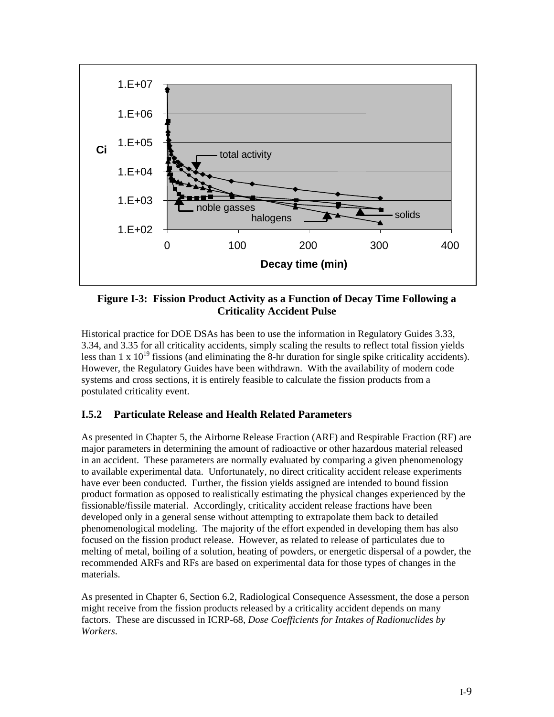

**Figure I-3: Fission Product Activity as a Function of Decay Time Following a Criticality Accident Pulse** 

Historical practice for DOE DSAs has been to use the information in Regulatory Guides 3.33, 3.34, and 3.35 for all criticality accidents, simply scaling the results to reflect total fission yields less than  $1 \times 10^{19}$  fissions (and eliminating the 8-hr duration for single spike criticality accidents). However, the Regulatory Guides have been withdrawn. With the availability of modern code systems and cross sections, it is entirely feasible to calculate the fission products from a postulated criticality event.

## **I.5.2 Particulate Release and Health Related Parameters**

As presented in Chapter 5, the Airborne Release Fraction (ARF) and Respirable Fraction (RF) are major parameters in determining the amount of radioactive or other hazardous material released in an accident. These parameters are normally evaluated by comparing a given phenomenology to available experimental data. Unfortunately, no direct criticality accident release experiments have ever been conducted. Further, the fission yields assigned are intended to bound fission product formation as opposed to realistically estimating the physical changes experienced by the fissionable/fissile material. Accordingly, criticality accident release fractions have been developed only in a general sense without attempting to extrapolate them back to detailed phenomenological modeling. The majority of the effort expended in developing them has also focused on the fission product release. However, as related to release of particulates due to melting of metal, boiling of a solution, heating of powders, or energetic dispersal of a powder, the recommended ARFs and RFs are based on experimental data for those types of changes in the materials.

As presented in Chapter 6, Section 6.2, Radiological Consequence Assessment, the dose a person might receive from the fission products released by a criticality accident depends on many factors. These are discussed in ICRP-68, *Dose Coefficients for Intakes of Radionuclides by Workers*.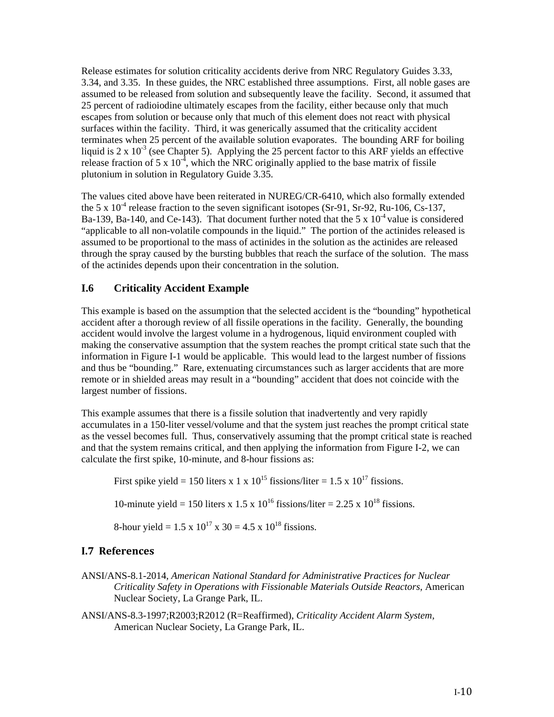Release estimates for solution criticality accidents derive from NRC Regulatory Guides 3.33, 3.34, and 3.35. In these guides, the NRC established three assumptions. First, all noble gases are assumed to be released from solution and subsequently leave the facility. Second, it assumed that 25 percent of radioiodine ultimately escapes from the facility, either because only that much escapes from solution or because only that much of this element does not react with physical surfaces within the facility. Third, it was generically assumed that the criticality accident terminates when 25 percent of the available solution evaporates. The bounding ARF for boiling liquid is  $2 \times 10^{-3}$  (see Chapter 5). Applying the 25 percent factor to this ARF yields an effective release fraction of 5 x  $10^{-4}$ , which the NRC originally applied to the base matrix of fissile plutonium in solution in Regulatory Guide 3.35.

The values cited above have been reiterated in NUREG/CR-6410, which also formally extended the 5 x  $10^{-4}$  release fraction to the seven significant isotopes (Sr-91, Sr-92, Ru-106, Cs-137, Ba-139, Ba-140, and Ce-143). That document further noted that the 5 x  $10^{-4}$  value is considered "applicable to all non-volatile compounds in the liquid." The portion of the actinides released is assumed to be proportional to the mass of actinides in the solution as the actinides are released through the spray caused by the bursting bubbles that reach the surface of the solution. The mass of the actinides depends upon their concentration in the solution.

#### **I.6 Criticality Accident Example**

This example is based on the assumption that the selected accident is the "bounding" hypothetical accident after a thorough review of all fissile operations in the facility. Generally, the bounding accident would involve the largest volume in a hydrogenous, liquid environment coupled with making the conservative assumption that the system reaches the prompt critical state such that the information in Figure I-1 would be applicable. This would lead to the largest number of fissions and thus be "bounding." Rare, extenuating circumstances such as larger accidents that are more remote or in shielded areas may result in a "bounding" accident that does not coincide with the largest number of fissions.

This example assumes that there is a fissile solution that inadvertently and very rapidly accumulates in a 150-liter vessel/volume and that the system just reaches the prompt critical state as the vessel becomes full. Thus, conservatively assuming that the prompt critical state is reached and that the system remains critical, and then applying the information from Figure I-2, we can calculate the first spike, 10-minute, and 8-hour fissions as:

First spike yield = 150 liters x 1 x  $10^{15}$  fissions/liter = 1.5 x  $10^{17}$  fissions.

10-minute yield = 150 liters x 1.5 x  $10^{16}$  fissions/liter = 2.25 x  $10^{18}$  fissions.

8-hour yield = 1.5 x  $10^{17}$  x 30 = 4.5 x  $10^{18}$  fissions.

#### **I.7 References**

- ANSI/ANS-8.1-2014, *American National Standard for Administrative Practices for Nuclear Criticality Safety in Operations with Fissionable Materials Outside Reactors*, American Nuclear Society, La Grange Park, IL.
- ANSI/ANS-8.3-1997;R2003;R2012 (R=Reaffirmed), *Criticality Accident Alarm System,*  American Nuclear Society, La Grange Park, IL.